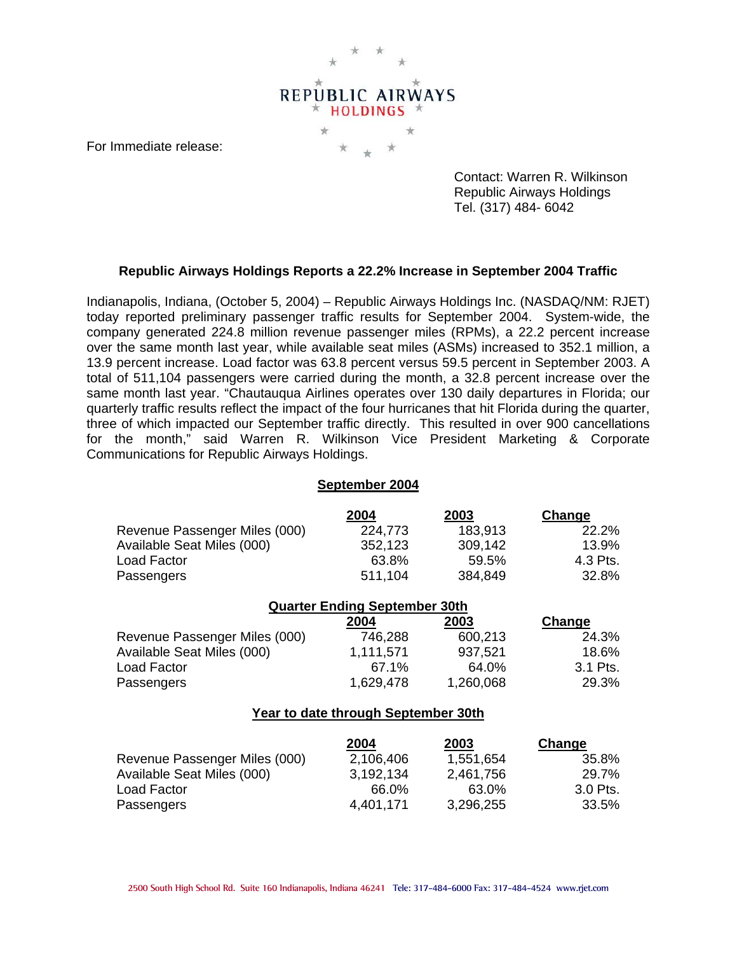

For Immediate release:

 Contact: Warren R. Wilkinson Republic Airways Holdings Tel. (317) 484- 6042

## **Republic Airways Holdings Reports a 22.2% Increase in September 2004 Traffic**

Indianapolis, Indiana, (October 5, 2004) – Republic Airways Holdings Inc. (NASDAQ/NM: RJET) today reported preliminary passenger traffic results for September 2004. System-wide, the company generated 224.8 million revenue passenger miles (RPMs), a 22.2 percent increase over the same month last year, while available seat miles (ASMs) increased to 352.1 million, a 13.9 percent increase. Load factor was 63.8 percent versus 59.5 percent in September 2003. A total of 511,104 passengers were carried during the month, a 32.8 percent increase over the same month last year. "Chautauqua Airlines operates over 130 daily departures in Florida; our quarterly traffic results reflect the impact of the four hurricanes that hit Florida during the quarter, three of which impacted our September traffic directly. This resulted in over 900 cancellations for the month," said Warren R. Wilkinson Vice President Marketing & Corporate Communications for Republic Airways Holdings.

## **September 2004**

|                               | 2004    | 2003    | <b>Change</b> |
|-------------------------------|---------|---------|---------------|
| Revenue Passenger Miles (000) | 224,773 | 183,913 | 22.2%         |
| Available Seat Miles (000)    | 352,123 | 309,142 | 13.9%         |
| Load Factor                   | 63.8%   | 59.5%   | 4.3 Pts.      |
| Passengers                    | 511,104 | 384,849 | 32.8%         |

| <b>Quarter Ending September 30th</b> |           |           |          |  |
|--------------------------------------|-----------|-----------|----------|--|
|                                      | 2004      | 2003      | Change   |  |
| Revenue Passenger Miles (000)        | 746,288   | 600,213   | 24.3%    |  |
| Available Seat Miles (000)           | 1,111,571 | 937,521   | 18.6%    |  |
| Load Factor                          | 67.1%     | 64.0%     | 3.1 Pts. |  |
| Passengers                           | 1,629,478 | 1,260,068 | 29.3%    |  |

## **Year to date through September 30th**

|                               | 2004      | <u> 2003 </u> | <b>Change</b> |
|-------------------------------|-----------|---------------|---------------|
| Revenue Passenger Miles (000) | 2,106,406 | 1,551,654     | 35.8%         |
| Available Seat Miles (000)    | 3.192.134 | 2,461,756     | 29.7%         |
| Load Factor                   | 66.0%     | 63.0%         | 3.0 Pts.      |
| Passengers                    | 4,401,171 | 3,296,255     | 33.5%         |